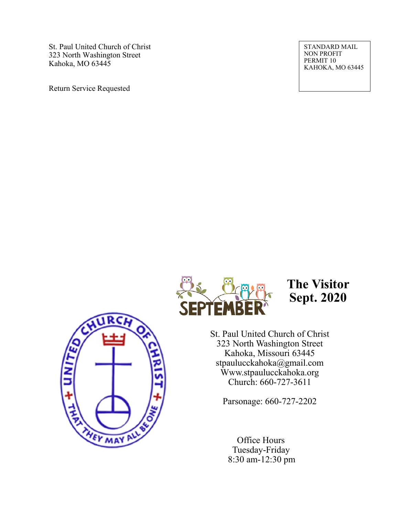St. Paul United Church of Christ 323 North Washington Street Kahoka, MO 63445

Return Service Requested

STANDARD MAIL NON PROFIT PERMIT 10 KAHOKA, MO 63445





**The Visitor Sept. 2020**

St. Paul United Church of Christ 323 North Washington Street Kahoka, Missouri 63445 stpaulucckahoka@gmail.com Www.stpaulucckahoka.org Church: 660-727-3611

Parsonage: 660-727-2202

 Office Hours Tuesday-Friday 8:30 am-12:30 pm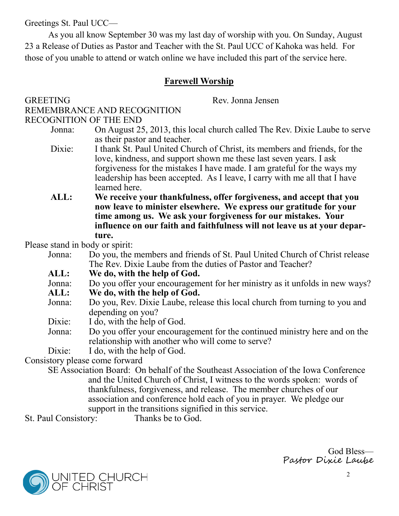Greetings St. Paul UCC—

As you all know September 30 was my last day of worship with you. On Sunday, August 23 a Release of Duties as Pastor and Teacher with the St. Paul UCC of Kahoka was held. For those of you unable to attend or watch online we have included this part of the service here.

# **Farewell Worship**

### GREETING Rev. Jonna Jensen REMEMBRANCE AND RECOGNITION RECOGNITION OF THE END

Jonna: On August 25, 2013, this local church called The Rev. Dixie Laube to serve as their pastor and teacher.

- Dixie: I thank St. Paul United Church of Christ, its members and friends, for the love, kindness, and support shown me these last seven years. I ask forgiveness for the mistakes I have made. I am grateful for the ways my leadership has been accepted. As I leave, I carry with me all that I have learned here.
- **ALL: We receive your thankfulness, offer forgiveness, and accept that you now leave to minister elsewhere. We express our gratitude for your time among us. We ask your forgiveness for our mistakes. Your influence on our faith and faithfulness will not leave us at your departure.**

Please stand in body or spirit:

- Jonna: Do you, the members and friends of St. Paul United Church of Christ release The Rev. Dixie Laube from the duties of Pastor and Teacher?
- **ALL: We do, with the help of God.**
- Jonna: Do you offer your encouragement for her ministry as it unfolds in new ways?<br>ALL: We do, with the help of God.
- **ALL: We do, with the help of God.**
- Jonna: Do you, Rev. Dixie Laube, release this local church from turning to you and depending on you?
- Dixie: I do, with the help of God.
- Jonna: Do you offer your encouragement for the continued ministry here and on the relationship with another who will come to serve?

Dixie: I do, with the help of God.

Consistory please come forward

SE Association Board: On behalf of the Southeast Association of the Iowa Conference and the United Church of Christ, I witness to the words spoken: words of thankfulness, forgiveness, and release. The member churches of our association and conference hold each of you in prayer. We pledge our support in the transitions signified in this service.

St. Paul Consistory: Thanks be to God.

God Bless— Pastor Dixie Laube

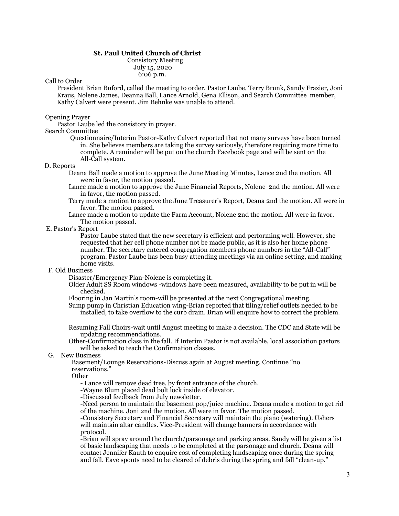#### **St. Paul United Church of Christ**

Consistory Meeting July 15, 2020 6:06 p.m.

#### Call to Order

President Brian Buford, called the meeting to order. Pastor Laube, Terry Brunk, Sandy Frazier, Joni Kraus, Nolene James, Deanna Ball, Lance Arnold, Gena Ellison, and Search Committee member, Kathy Calvert were present. Jim Behnke was unable to attend.

#### Opening Prayer

Pastor Laube led the consistory in prayer.

#### Search Committee

Questionnaire/Interim Pastor-Kathy Calvert reported that not many surveys have been turned in. She believes members are taking the survey seriously, therefore requiring more time to complete. A reminder will be put on the church Facebook page and will be sent on the All-Call system.

#### D. Reports

Deana Ball made a motion to approve the June Meeting Minutes, Lance 2nd the motion. All were in favor, the motion passed.

Lance made a motion to approve the June Financial Reports, Nolene 2nd the motion. All were in favor, the motion passed.

- Terry made a motion to approve the June Treasurer's Report, Deana 2nd the motion. All were in favor. The motion passed.
- Lance made a motion to update the Farm Account, Nolene 2nd the motion. All were in favor. The motion passed.

#### E. Pastor's Report

Pastor Laube stated that the new secretary is efficient and performing well. However, she requested that her cell phone number not be made public, as it is also her home phone number. The secretary entered congregation members phone numbers in the "All-Call" program. Pastor Laube has been busy attending meetings via an online setting, and making home visits.

#### F. Old Business

Disaster/Emergency Plan-Nolene is completing it.

- Older Adult SS Room windows -windows have been measured, availability to be put in will be checked.
- Flooring in Jan Martin's room-will be presented at the next Congregational meeting.
- Sump pump in Christian Education wing-Brian reported that tiling/relief outlets needed to be installed, to take overflow to the curb drain. Brian will enquire how to correct the problem.

Resuming Fall Choirs-wait until August meeting to make a decision. The CDC and State will be updating recommendations.

Other-Confirmation class in the fall. If Interim Pastor is not available, local association pastors will be asked to teach the Confirmation classes.

#### G. New Business

Basement/Lounge Reservations-Discuss again at August meeting. Continue "no reservations."

**Other** 

- Lance will remove dead tree, by front entrance of the church.

-Wayne Blum placed dead bolt lock inside of elevator.

-Discussed feedback from July newsletter.

-Need person to maintain the basement pop/juice machine. Deana made a motion to get rid of the machine. Joni 2nd the motion. All were in favor. The motion passed.

-Consistory Secretary and Financial Secretary will maintain the piano (watering). Ushers will maintain altar candles. Vice-President will change banners in accordance with protocol.

-Brian will spray around the church/parsonage and parking areas. Sandy will be given a list of basic landscaping that needs to be completed at the parsonage and church. Deana will contact Jennifer Kauth to enquire cost of completing landscaping once during the spring and fall. Eave spouts need to be cleared of debris during the spring and fall "clean-up."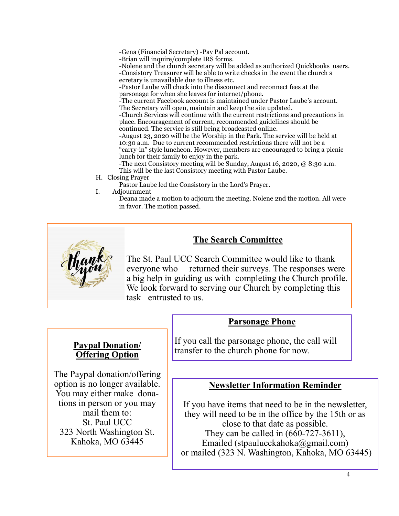-Gena (Financial Secretary) -Pay Pal account.

-Brian will inquire/complete IRS forms.

-Nolene and the church secretary will be added as authorized Quickbooks users. -Consistory Treasurer will be able to write checks in the event the church s ecretary is unavailable due to illness etc.

-Pastor Laube will check into the disconnect and reconnect fees at the parsonage for when she leaves for internet/phone.

-The current Facebook account is maintained under Pastor Laube's account. The Secretary will open, maintain and keep the site updated.

-Church Services will continue with the current restrictions and precautions in place. Encouragement of current, recommended guidelines should be continued. The service is still being broadcasted online.

-August 23, 2020 will be the Worship in the Park. The service will be held at 10:30 a.m. Due to current recommended restrictions there will not be a "carry-in" style luncheon. However, members are encouraged to bring a picnic lunch for their family to enjoy in the park.

-The next Consistory meeting will be Sunday, August 16, 2020, @ 8:30 a.m. This will be the last Consistory meeting with Pastor Laube.

H. Closing Prayer

Pastor Laube led the Consistory in the Lord's Prayer.

I. Adjournment

Deana made a motion to adjourn the meeting. Nolene 2nd the motion. All were in favor. The motion passed.



# **The Search Committee**

The St. Paul UCC Search Committee would like to thank everyone who returned their surveys. The responses were a big help in guiding us with completing the Church profile. We look forward to serving our Church by completing this task entrusted to us.

### **Paypal Donation/ Offering Option**

The Paypal donation/offering option is no longer available. You may either make donations in person or you may mail them to: St. Paul UCC 323 North Washington St. Kahoka, MO 63445

If you call the parsonage phone, the call will transfer to the church phone for now.

**Parsonage Phone**

### **Newsletter Information Reminder**

If you have items that need to be in the newsletter, they will need to be in the office by the 15th or as close to that date as possible. They can be called in (660-727-3611), Emailed (stpaulucckahoka@gmail.com) or mailed (323 N. Washington, Kahoka, MO 63445)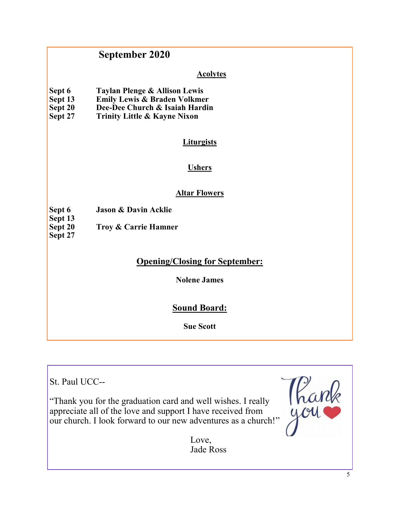# **September 2020**

### **Acolytes**

| Sept 6  | Taylan Plenge & Allison Lewis           |
|---------|-----------------------------------------|
| Sept 13 | <b>Emily Lewis &amp; Braden Volkmer</b> |
| Sept 20 | Dee-Dee Church & Isaiah Hardin          |
| Sept 27 | <b>Trinity Little &amp; Kayne Nixon</b> |

### **Liturgists**

### **Ushers**

### **Altar Flowers**

**Sept 6 Jason & Davin Acklie**

**Sept 13**<br>**Sept 20 Troy & Carrie Hamner** 

**Sept 27**

# **Opening/Closing for September:**

**Nolene James**

# **Sound Board:**

**Sue Scott**

St. Paul UCC--

"Thank you for the graduation card and well wishes. I really appreciate all of the love and support I have received from our church. I look forward to our new adventures as a church!"



Love, Jade Ross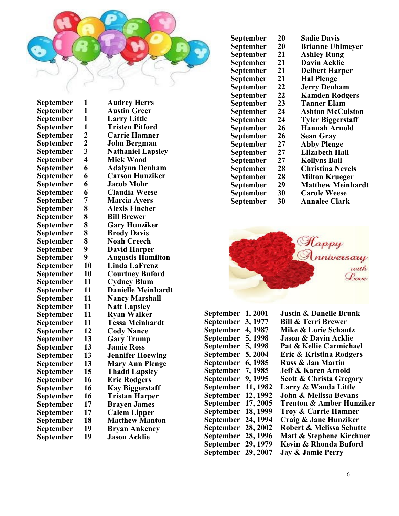

| September | 1                | <b>Audrey Herrs</b>       |
|-----------|------------------|---------------------------|
| September | 1                | <b>Austin Greer</b>       |
| September | 1                | <b>Larry Little</b>       |
| September | 1                | <b>Tristen Pitford</b>    |
| September | $\boldsymbol{2}$ | <b>Carrie Hamner</b>      |
| September | $\overline{2}$   | <b>John Bergman</b>       |
| September | 3                | <b>Nathaniel Lapsley</b>  |
| September | 4                | <b>Mick Wood</b>          |
| September | 6                | <b>Adalynn Denham</b>     |
| September | 6                | <b>Carson Hunziker</b>    |
| September | 6                | <b>Jacob Mohr</b>         |
| September | 6                | <b>Claudia Weese</b>      |
| September | 7                | <b>Marcia Ayers</b>       |
| September | 8                | <b>Alexis Fincher</b>     |
| September | 8                | <b>Bill Brewer</b>        |
| September | 8                | <b>Gary Hunziker</b>      |
| September | 8                | <b>Brody Davis</b>        |
| September | 8                | <b>Noah Creech</b>        |
| September | 9                | <b>David Harper</b>       |
| September | 9                | <b>Augustis Hamilton</b>  |
| September | 10               | <b>Linda LaFrenz</b>      |
| September | 10               | <b>Courtney Buford</b>    |
| September | 11               | <b>Cydney Blum</b>        |
| September | 11               | <b>Danielle Meinhardt</b> |
| September | 11               | <b>Nancy Marshall</b>     |
| September | 11               | <b>Natt Lapsley</b>       |
| September | 11               | <b>Ryan Walker</b>        |
| September | 11               | Tessa Meinhardt           |
| September | 12               | <b>Cody Nance</b>         |
| September | 13               | <b>Gary Trump</b>         |
| September | 13               | <b>Jamie Ross</b>         |
| September | 13               | <b>Jennifer Hoewing</b>   |
| September | 13               | <b>Mary Ann Plenge</b>    |
| September | 15               | <b>Thadd Lapsley</b>      |
| September | 16               | <b>Eric Rodgers</b>       |
| September | 16               | <b>Kay Biggerstaff</b>    |
| September | 16               | Tristan Harper            |
| September | 17               | <b>Brayen James</b>       |
| September | 17               | <b>Calem Lipper</b>       |
| September | 18               | <b>Matthew Manton</b>     |
| September | 19               | <b>Bryan Ankeney</b>      |
| September | 19               | <b>Jason Acklie</b>       |

| September | 20 | <b>Sadie Davis</b>       |
|-----------|----|--------------------------|
| September | 20 | <b>Brianne Uhlmeyer</b>  |
| September | 21 | <b>Ashley Rung</b>       |
| September | 21 | <b>Davin Acklie</b>      |
| September | 21 | <b>Delbert Harper</b>    |
| September | 21 | <b>Hal Plenge</b>        |
| September | 22 | <b>Jerry Denham</b>      |
| September | 22 | <b>Kamden Rodgers</b>    |
| September | 23 | <b>Tanner Elam</b>       |
| September | 24 | <b>Ashton McCuiston</b>  |
| September | 24 | <b>Tyler Biggerstaff</b> |
| September | 26 | <b>Hannah Arnold</b>     |
| September | 26 | <b>Sean Gray</b>         |
| September | 27 | <b>Abby Plenge</b>       |
| September | 27 | <b>Elizabeth Hall</b>    |
| September | 27 | <b>Kollyns Ball</b>      |
| September | 28 | <b>Christina Nevels</b>  |
| September | 28 | <b>Milton Krueger</b>    |
| September | 29 | <b>Matthew Meinhardt</b> |
| September | 30 | <b>Carole Weese</b>      |
| September | 30 | <b>Annalee Clark</b>     |
|           |    |                          |



| September | 1,2001   | $\mathsf{l}$ |
|-----------|----------|--------------|
| September | 3, 1977  | I            |
| September | 4, 1987  | ľ            |
| September | 5, 1998  | $\mathsf{l}$ |
| September | 5, 1998  | I            |
| September | 5, 2004  | I            |
| September | 6, 1985  | I            |
| September | 7,1985   | $\mathsf{l}$ |
| September | 9, 1995  | ř            |
| September | 11, 1982 | J            |
| September | 12, 1992 | $\mathsf{l}$ |
| September | 17, 2005 | ŋ            |
| September | 18, 1999 | Ί            |
| September | 24, 1994 | (            |
| September | 28, 2002 | I            |
| September | 28, 1996 | ľ            |
| September | 29, 1979 | I            |
| September | 29, 2007 | $\mathsf{l}$ |

**September 1, 2001 Justin & Danelle Brunk September 3, 1977 Bill & Terri Brewer Mike & Lorie Schantz Jason & Davin Acklie September 5, 1998 Pat & Kellie Carmichael Eric & Kristina Rodgers September 6, 1985 Russ & Jan Martin Jeff & Karen Arnold Scott & Christa Gregory September 11, 1982 Larry & Wanda Little September 12, 1992 John & Melissa Bevans September 17, 2005 Trenton & Amber Hunziker September 18, 1999 Troy & Carrie Hamner September 24, 1994 Craig & Jane Hunziker September 28, 2002 Robert & Melissa Schutte Matt & Stephene Kirchner Kevin & Rhonda Buford**<br>**Jay & Jamie Perry**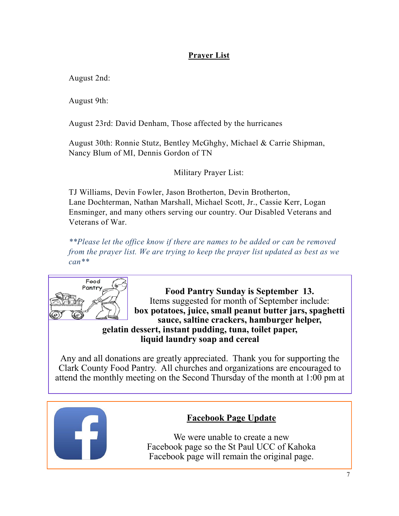# **Prayer List**

August 2nd:

August 9th:

August 23rd: David Denham, Those affected by the hurricanes

August 30th: Ronnie Stutz, Bentley McGhghy, Michael & Carrie Shipman, Nancy Blum of MI, Dennis Gordon of TN

Military Prayer List:

TJ Williams, Devin Fowler, Jason Brotherton, Devin Brotherton, Lane Dochterman, Nathan Marshall, Michael Scott, Jr., Cassie Kerr, Logan Ensminger, and many others serving our country. Our Disabled Veterans and Veterans of War.

*\*\*Please let the office know if there are names to be added or can be removed from the prayer list. We are trying to keep the prayer list updated as best as we can\*\**



**Food Pantry Sunday is September 13.** Items suggested for month of September include: **box potatoes, juice, small peanut butter jars, spaghetti sauce, saltine crackers, hamburger helper, gelatin dessert, instant pudding, tuna, toilet paper, liquid laundry soap and cereal**

Any and all donations are greatly appreciated. Thank you for supporting the Clark County Food Pantry. All churches and organizations are encouraged to attend the monthly meeting on the Second Thursday of the month at 1:00 pm at



### **Facebook Page Update**

We were unable to create a new Facebook page so the St Paul UCC of Kahoka Facebook page will remain the original page.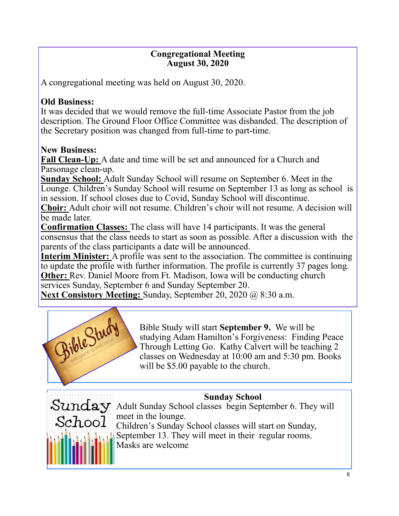# **Congregational Meeting August 30, 2020**

A congregational meeting was held on August 30, 2020.

# **Old Business:**

It was decided that we would remove the full-time Associate Pastor from the job description. The Ground Floor Office Committee was disbanded. The description of the Secretary position was changed from full-time to part-time.

# **New Business:**

**Fall Clean-Up:** A date and time will be set and announced for a Church and Parsonage clean-up.

**Sunday School:** Adult Sunday School will resume on September 6. Meet in the Lounge. Children's Sunday School will resume on September 13 as long as school is in session. If school closes due to Covid, Sunday School will discontinue.

**Choir:** Adult choir will not resume. Children's choir will not resume. A decision will be made later.

**Confirmation Classes:** The class will have 14 participants. It was the general consensus that the class needs to start as soon as possible. After a discussion with the parents of the class participants a date will be announced.

**Interim Minister:** A profile was sent to the association. The committee is continuing to update the profile with further information. The profile is currently 37 pages long. **Other:** Rev. Daniel Moore from Ft. Madison, Iowa will be conducting church services Sunday, September 6 and Sunday September 20.

**Next Consistory Meeting:** Sunday, September 20, 2020 @ 8:30 a.m.



Bible Study will start **September 9.** We will be studying Adam Hamilton's Forgiveness: Finding Peace Through Letting Go. Kathy Calvert will be teaching 2 classes on Wednesday at 10:00 am and 5:30 pm. Books will be \$5.00 payable to the church.

# **Sunday School**



Sunday Adult Sunday School classes begin September 6. They will meet in the lounge. Children's Sunday School classes will start on Sunday, September 13. They will meet in their regular rooms. Masks are welcome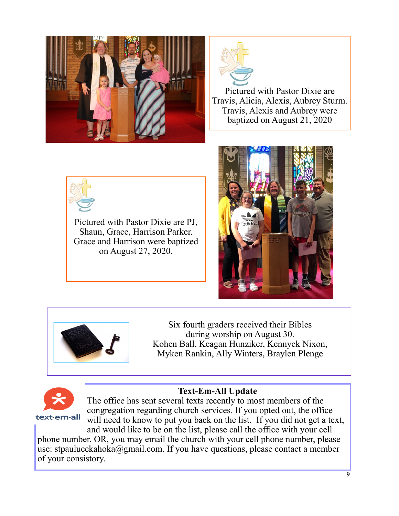



Pictured with Pastor Dixie are Travis, Alicia, Alexis, Aubrey Sturm. Travis, Alexis and Aubrey were baptized on August 21, 2020



Pictured with Pastor Dixie are PJ, Shaun, Grace, Harrison Parker. Grace and Harrison were baptized on August 27, 2020.





Six fourth graders received their Bibles during worship on August 30. Kohen Ball, Keagan Hunziker, Kennyck Nixon, Myken Rankin, Ally Winters, Braylen Plenge



**Text-Em-All Update**

The office has sent several texts recently to most members of the congregation regarding church services. If you opted out, the office will need to know to put you back on the list. If you did not get a text,

and would like to be on the list, please call the office with your cell phone number. OR, you may email the church with your cell phone number, please use: stpaulucckahoka@gmail.com. If you have questions, please contact a member of your consistory.